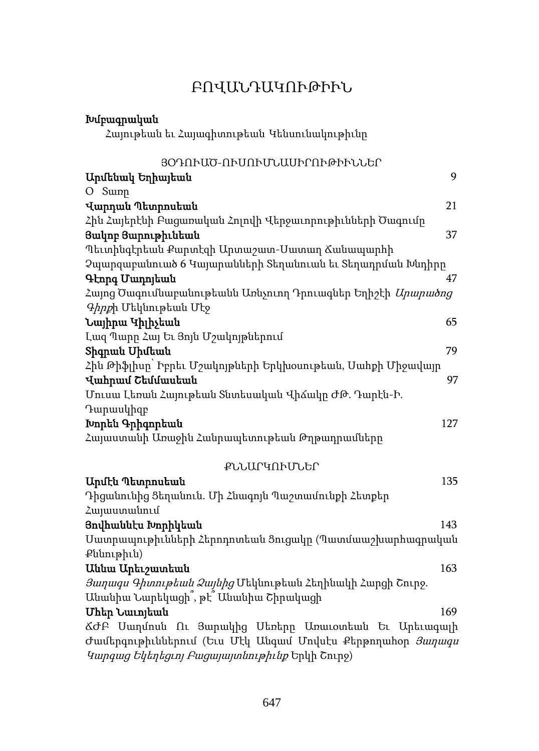# ԲՈՎԱՆԴԱԿՈՒԹԻՒՆ

| Խմբագրական                                                         |
|--------------------------------------------------------------------|
| Հայութեան եւ Հայագիտութեան Կենսունակութիւնը                        |
| <b>ՅՕԴՈՒԱԾ-ՈՒՍՈՒՄՆԱՍԻՐՈՒԹԻՒՆՆԵՐ</b>                                |
| 9<br>Արմենակ Եղիայեան                                              |
| O Sunn                                                             |
| Վարդան Պետրոսեան<br>21                                             |
| Հին Հայերէնի Բացառական Հոլովի Վերջաւորութիւնների Ծագումը           |
| Յակոբ Յարութիւնեան<br>37                                           |
| Պեւտինգէրեան Քարտէզի Արտաշատ-Սատաղ Ճանապարհի                       |
| Չպարզաբանուած 6 Կայարանների Տեղանուան եւ Տեղադրման Խնդիրը          |
| Գէորգ Մադոյեան<br>47                                               |
| Հայոց Ծագումնաբանութեանն Առնչուող Դրուագներ Եղիշէի <i>Արարածոց</i> |
| <i>Գիրք</i> ի Մեկնութեան Մէջ                                       |
| Նայիրա Կիլիչեան<br>65                                              |
| Լազ Պարը Հայ Եւ Յոյն Մշակոյթներում                                 |
| 79<br>Shqnuut Uhutuut                                              |
| Հին Թիֆլիսը՝ Իբրեւ Մշակոյթների Երկխօսութեան, Սահքի Միջավայր        |
| Վահրամ Շեմմասեան<br>97                                             |
| Մուսա Լեռան Հայութեան Տնտեսական Վիձակը ԺԹ. Դարէն-Ի.                |
| Դարասկիզբ                                                          |
| Խորեն Գրիգորեան<br>127                                             |
| Հայաստանի Առաջին Հանրապետութեան Թղթադրամները                       |
| <b>ՔՆՆԱՐԿՈՒՄՆԵՐ</b>                                                |
| 135<br>Արմէն Պետրոսեան                                             |
| Դիցանունից Ցեղանուն. Մի Հնագոյն Պաշտամունքի Հետքեր                 |
| Հայաստանում                                                        |
| Յովհաննէս Խորիկեան<br>143                                          |
| Մատրապութիւնների Հերոդոտեան Ցուցակը (Պատմաաշխարհագրական            |
| Քննութիւն)                                                         |
| Uutuu Uphi <i>p</i> untuu<br>163                                   |
| <i>Յաղագս Գիտութեան Ձայնից</i> Մեկնութեան Հեղինակի Հարցի Շուրջ.    |
| Անանիա Նարեկացի՞, թէ՞ Անանիա Շիրակացի                              |
| Մհեր Նաւոյեան<br>169                                               |
| ՃԺԲ Սաղմոսն Ու Յարակից Սեռերը Առաւօտեան Եւ Արեւագալի               |
| Ժամերգութիւններում (Եւս Մէկ Անգամ Մովսէս Քերթողահօր Յաղագս         |
| <i>Կարգաց Եկեղեցւոյ Բացայայտնութիւնք</i> Երկի Շուրջ)               |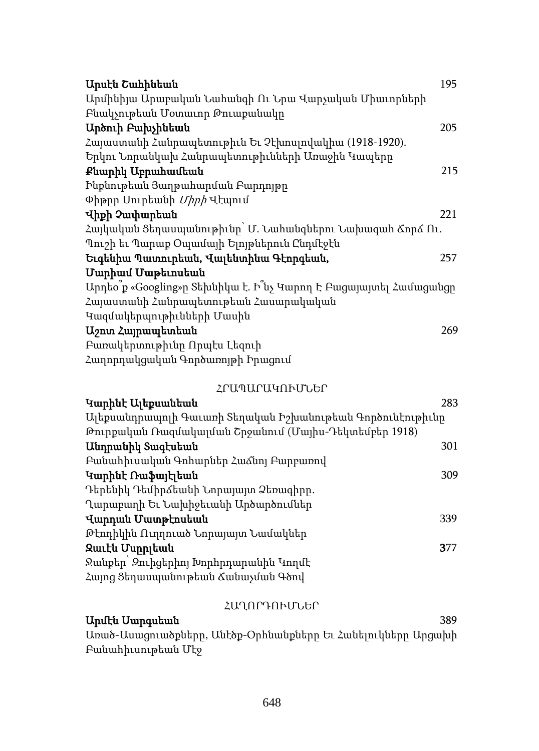| Արսէն Շահինեան                                                   | 195 |
|------------------------------------------------------------------|-----|
| Արմինիյա Արաբական Նահանգի Ու Նրա Վարչական Միաւորների             |     |
| Բնակչութեան Մօտաւոր Թուաքանակը                                   |     |
| Արծուի Բախչինեան                                                 | 205 |
| Հայաստանի Հանրապետութիւն Եւ Չէխոսլովակիա (1918-1920).            |     |
| Երկու Նորանկախ Հանրապետութիւնների Առաջին Կապերը                  |     |
| Քնարիկ Աբրահամեան                                                | 215 |
| Ինքնութեան Յաղթահարման Բարդոյթը                                  |     |
| Փիթրը Սուրեանի <i>Միրի</i> Վէպում                                |     |
| Վիքի Չափարեան                                                    | 221 |
| Հայկական Ցեղասպանութիւնը` Մ. Նահանգներու Նախագահ Ճորձ Ու.        |     |
| Պուշի եւ Պարաք Օպամայի Ելոյթներուն Ընդմէջէն                      |     |
| Եւգենիա Պատուրեան, Վալենտինա Գէորգեան,                           | 257 |
| <b>Umphmu Umphinutmu</b>                                         |     |
| Uրդեօ՞ք «Googling»ը Տեխնիկա է. Ի՞նչ Կարող է Բացայայտել Համացանցը |     |
| Հայաստանի Հանրապետութեան Հասարակական                             |     |
| Կազմակերպութիւնների Մասին                                        |     |
| Uznun Հայրապետեան                                                | 269 |
| Բառակերտութիւնը Որպէս Լեզուի                                     |     |
| Հաղորդակցական Գործառոյթի Իրացում                                 |     |
| ՀՐԱՊԱՐԱԿՈՒՄՆԵՐ                                                   |     |
| Կարինէ Ալեքսանեան                                                | 283 |
| Ալեքսանդրապոլի Գաւառի Տեղական Իշխանութեան Գործունէութիւնը        |     |
| Թուրքական Ռազմակալման Շրջանում (Մայիս-Դեկտեմբեր 1918)            |     |
| Անդրանիկ Տագէսեան                                                | 301 |
| Բանահիւսական Գոհարներ Հաձնոյ Բարբառով                            |     |
| Կարինէ Ռաֆայէլեան                                                | 309 |
| Դերենիկ Դեմիրձեանի Նորայայտ Ձեռագիրը.                            |     |
| Ղարաբաղի Եւ Նախիջեւանի Արծարծումներ                              |     |
| Վարդան Մատթէոսեան                                                | 339 |
| Թէոդիկին Ուղղուած Նորայայտ Նամակներ                              |     |
| Զաւէն Մսրրլեան                                                   | 377 |
| Ջանքեր՝ Զուիցերիոյ Խորհրդարանին Կողմէ                            |     |
| Հայոց Ցեղասպանութեան Ճանաչման Գծով                               |     |
|                                                                  |     |

## ՀԱՂՈՐԴՈՒՄՆԵՐ

| Արմէն Մարգսեան                                               | 389 |
|--------------------------------------------------------------|-----|
| Առած-Ասացուածքները, Անէծք-Օրհնանքները Եւ Հանելուկները Արցախի |     |
| Բանահիւսութեան Մէջ                                           |     |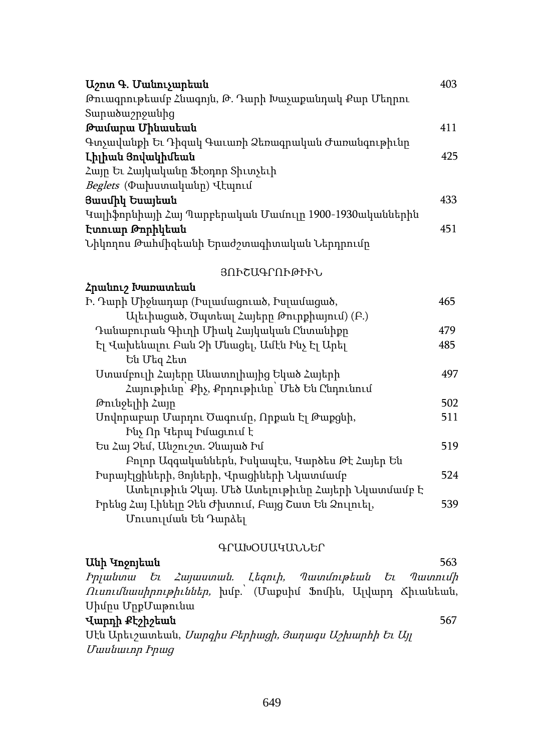| Uynun 9. Uwuniyuntuu                                   | 403 |
|--------------------------------------------------------|-----|
| Թուագրութեամբ Հնագոյն, Թ. Դարի Խաչաքանդակ Քար Մեղրու   |     |
| Տարածաշրջանից                                          |     |
| Թամարա Մինասեան                                        | 411 |
| Գտչավանքի Եւ Դիզակ Գաւառի Ձեռագրական Ժառանգութիւնը     |     |
| Լիլիան Յովակիմեան                                      | 425 |
| Հայր Եւ Հայկականը Ֆէօդոր Տիւտչեւի                      |     |
| Beglets (Փախստականը) Վէպում                            |     |
| Յասմիկ Եսայեան                                         | 433 |
| Կալիֆորնիայի Հայ Պարբերական Մամուլը 1900-1930ականներին |     |
| Էտուար Թորիկեան                                        | 451 |
| Նիկողոս Թահմիզեանի Երաժշտագիտական Ներդրումը            |     |
| ՅՈՒՇԱԳՐՈՒԹԻՒՆ                                          |     |
| Հրանուշ Խառատեան                                       |     |
| Ի. Դարի Միջնադար (Իսլամացուած, Իսլամացած,              | 465 |
| Ալեւիացած, Ծպտեալ Հայերը Թուրքիայում) (Բ.)             |     |
| Դանաբուրան Գիւղի Միակ Հայկական Ընտանիքը                | 479 |
| էլ Վախենալու Բան Չի Մնացել, Ամէն Ինչ էլ Արել           | 485 |
| <b>Uti</b> Utiq 2tin                                   |     |
| Մտամբուլի Հայերը Անատոլիայից Եկած Հայերի               | 497 |
| Հայութիւնը` Քիչ, Քրդութիւնը` Մեծ Են Ընդունում          |     |
| Թունջելիի Հայր                                         | 502 |
| Սովորաբար Մարդու Ծագումը, Որքան էլ Թաքցնի,             | 511 |
| Ինչ Որ Կերպ Իմացւում է                                 |     |
| Ես Հայ Չեմ, Անշուշտ. Չնայած Իմ                         | 519 |
| Բոլոր Ազգականներն, Իսկապէս, Կարծես Թէ Հայեր Են         |     |
| Իսրայէլցիների, Յոյների, Վրացիների Նկատմամբ             | 524 |
| Ատելութիւն Չկալ. Մեծ Ատելութիւնը Հայերի Նկատմամբ Է     |     |
| Իրենց Հայ Լինեյը Չեն Ժխտում, Բայց Շատ Են Ձուլուել,     | 539 |
| Մուսուլման Են Դարձել                                   |     |
|                                                        |     |

### ԳՐԱԽՕՍԱԿԱՆՆԵՐ

| Անի Կոջոյեան                                                       | 563 |
|--------------------------------------------------------------------|-----|
| Ppywlunw bi Zwywunwlu. Ltanih, Nwinuniptwli bi Nwinniuh            |     |
| <i>Ուսումնասիրութիւններ</i> , խմբ. (Մաքսիմ Ֆոմին, Ալվարդ Ճիւանեան, |     |
| Միմրս ՄրքՄաթունա                                                   |     |
| Վարդի Քէշիշեան                                                     | 567 |
| Uէն Արեւշատեան, <i>Uարգիս Բերիացի, Յաղագս Աշխարհի Եւ Այլ</i>       |     |
| Մասնաւոր Իրաց                                                      |     |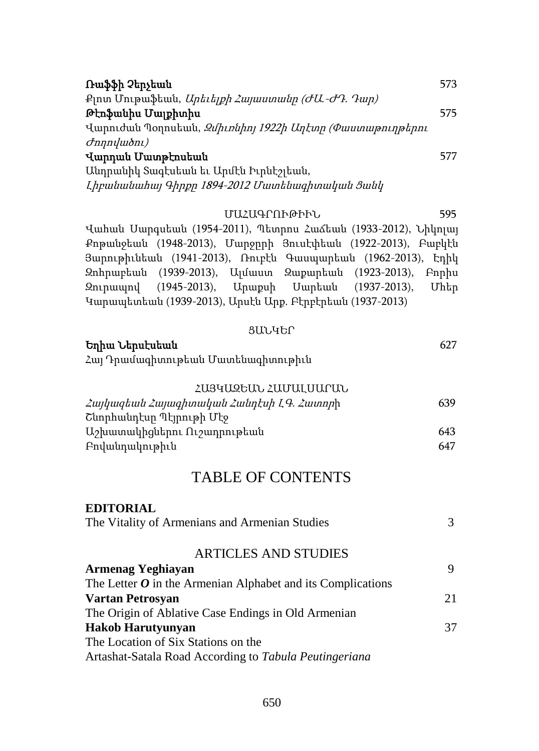| Քլոտ Մութաֆեան, <i>Արեւելքի Հայաստանը (ԺԱ.-ԺԴ. Դար)</i><br>Թէոֆանիս Մալքիտիս | 575         |
|------------------------------------------------------------------------------|-------------|
| Վարուժան Պօղոսեան, <i>Զմիւռնիոյ 1922ի Աղէտր (Փաստաթուղթերու</i>              |             |
| $\sigma$ nnn $\eta$ u $\delta$ nl)                                           |             |
| Վարդան Մատթէոսեան                                                            | 577         |
| Անդրանիկ Տագէսեան եւ Արմէն Իւրնէշլեան,                                       |             |
| Լիբանանահայ Գիրքը 1894-2012 Մատենագիտական Ցանկ                               |             |
|                                                                              |             |
| ՄԱՀԱԳՐՈՒԹԻՒՆ                                                                 | 595         |
| Վահան Սարգսեան (1954-2011), Պետրոս Հաձեան (1933-2012), Նիկոլալ               |             |
| Քոթանջեան (1948-2013), Մարջրրի Յուսէփեան (1922-2013),                        | Բաբկէն      |
| Յարութիւնեան (1941-2013), Ռուբէն Գասպարեան (1962-2013), Էդիկ                 |             |
| Զոհրաբեան (1939-2013), Ալմաստ Զաքարեան (1923-2013),                          | Fnphu       |
| Զուրապով (1945-2013), Արաքսի Սարեան (1937-2013),                             | <b>Uhtp</b> |
| Կարապետեան (1939-2013), Արսէն Արք. Բէրբէրեան (1937-2013)                     |             |
|                                                                              |             |
| ՑԱՆԿԵՐ                                                                       |             |
| Եղիա Ներսէսեան                                                               | 627         |
| Հայ Դրամագիտութեան Մատենագիտութիւն                                           |             |
|                                                                              |             |
| ՀԱՅԿԱԶԵԱՆ ՀԱՄԱԼՍԱՐԱՆ                                                         |             |
| Հայկազեան Հայագիտական Հանդէսի ԼԳ. Հատորի                                     | 639         |
| Շնորհանդէսը Պէյրութի Մէջ                                                     |             |
| Աշխատակիցներու Ուշադրութեան                                                  | 643         |
| Բովանդակութիւն                                                               | 647         |
|                                                                              |             |
| <b>TABLE OF CONTENTS</b>                                                     |             |
|                                                                              |             |
| <b>EDITORIAL</b>                                                             |             |
| The Vitality of Armenians and Armenian Studies                               | 3           |
|                                                                              |             |
| <b>ARTICLES AND STUDIES</b>                                                  |             |
| Armenag Yeghiayan                                                            | 9           |
| The Letter $\boldsymbol{0}$ in the Armenian Alphabet and its Complications   |             |
| Vartan Petrosyan                                                             | 21          |
| The Origin of Ablative Case Endings in Old Armenian                          |             |
| Hakob Harutyunyan                                                            | 37          |
| The Location of Six Stations on the                                          |             |
| Artashat-Satala Road According to Tabula Peutingeriana                       |             |
|                                                                              |             |

Եղիա Ներսէսեան 627

Ռաֆֆի Չերչեան 573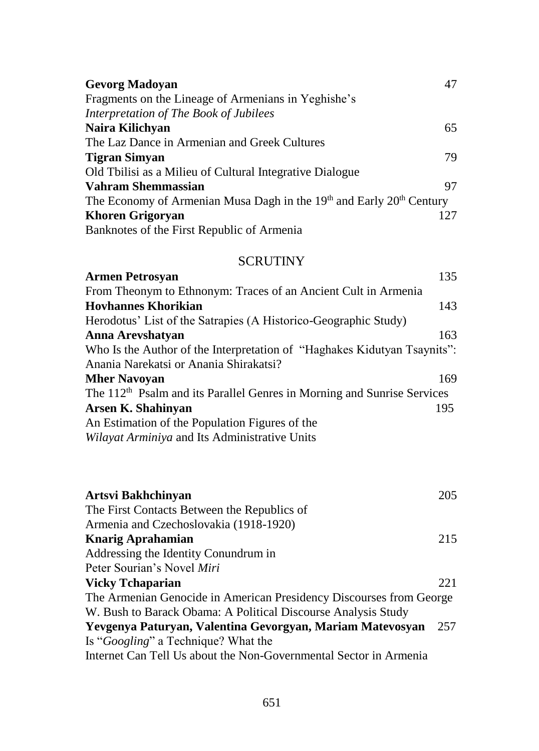| <b>Gevorg Madoyan</b>                                                                        | 47  |
|----------------------------------------------------------------------------------------------|-----|
| Fragments on the Lineage of Armenians in Yeghishe's                                          |     |
| Interpretation of The Book of Jubilees                                                       |     |
| Naira Kilichyan                                                                              | 65  |
| The Laz Dance in Armenian and Greek Cultures                                                 |     |
| <b>Tigran Simyan</b>                                                                         | 79  |
| Old Tbilisi as a Milieu of Cultural Integrative Dialogue                                     |     |
| Vahram Shemmassian                                                                           | 97  |
| The Economy of Armenian Musa Dagh in the 19 <sup>th</sup> and Early 20 <sup>th</sup> Century |     |
| <b>Khoren Grigoryan</b>                                                                      | 127 |
| Banknotes of the First Republic of Armenia                                                   |     |

## **SCRUTINY**

| <b>Armen Petrosyan</b>                                                              | 135 |
|-------------------------------------------------------------------------------------|-----|
| From Theonym to Ethnonym: Traces of an Ancient Cult in Armenia                      |     |
| <b>Hovhannes Khorikian</b>                                                          | 143 |
| Herodotus' List of the Satrapies (A Historico-Geographic Study)                     |     |
| Anna Arevshatyan                                                                    | 163 |
| Who Is the Author of the Interpretation of "Haghakes Kidutyan Tsaynits":            |     |
| Anania Narekatsi or Anania Shirakatsi?                                              |     |
| <b>Mher Navoyan</b>                                                                 | 169 |
| The 112 <sup>th</sup> Psalm and its Parallel Genres in Morning and Sunrise Services |     |
| Arsen K. Shahinyan                                                                  | 195 |
| An Estimation of the Population Figures of the                                      |     |
| Wilayat Arminiya and Its Administrative Units                                       |     |

| Artsvi Bakhchinyan                                                  | 205 |
|---------------------------------------------------------------------|-----|
| The First Contacts Between the Republics of                         |     |
| Armenia and Czechoslovakia (1918-1920)                              |     |
| <b>Knarig Aprahamian</b>                                            | 215 |
| Addressing the Identity Conundrum in                                |     |
| Peter Sourian's Novel Miri                                          |     |
| <b>Vicky Tchaparian</b>                                             | 221 |
| The Armenian Genocide in American Presidency Discourses from George |     |
| W. Bush to Barack Obama: A Political Discourse Analysis Study       |     |
| Yevgenya Paturyan, Valentina Gevorgyan, Mariam Matevosyan           | 257 |
| Is "Googling" a Technique? What the                                 |     |
| Internet Can Tell Us about the Non-Governmental Sector in Armenia   |     |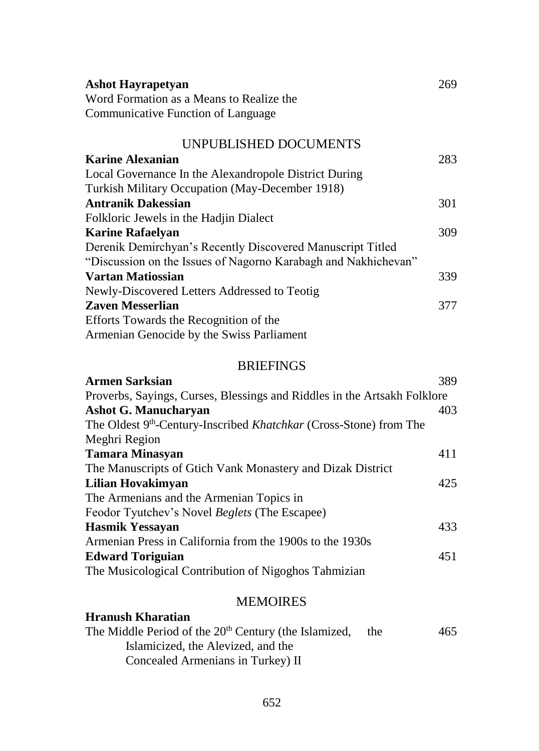| <b>Ashot Hayrapetyan</b>                                       | 269 |
|----------------------------------------------------------------|-----|
| Word Formation as a Means to Realize the                       |     |
| Communicative Function of Language                             |     |
| UNPUBLISHED DOCUMENTS                                          |     |
| <b>Karine Alexanian</b>                                        | 283 |
| Local Governance In the Alexandropole District During          |     |
| Turkish Military Occupation (May-December 1918)                |     |
| <b>Antranik Dakessian</b>                                      | 301 |
| Folkloric Jewels in the Hadjin Dialect                         |     |
| <b>Karine Rafaelyan</b>                                        | 309 |
| Derenik Demirchyan's Recently Discovered Manuscript Titled     |     |
| "Discussion on the Issues of Nagorno Karabagh and Nakhichevan" |     |
| Vartan Matiossian                                              | 339 |
| Newly-Discovered Letters Addressed to Teotig                   |     |
| <b>Zaven Messerlian</b>                                        | 377 |
| Efforts Towards the Recognition of the                         |     |
| Armenian Genocide by the Swiss Parliament                      |     |
|                                                                |     |

## BRIEFINGS

| 389 |
|-----|
|     |
| 403 |
|     |
|     |
| 411 |
|     |
| 425 |
|     |
|     |
| 433 |
|     |
| 451 |
|     |
|     |

## MEMOIRES

| <b>Hranush Kharatian</b>                                          |     |     |
|-------------------------------------------------------------------|-----|-----|
| The Middle Period of the 20 <sup>th</sup> Century (the Islamized, | the | 465 |
| Islamicized, the Alevized, and the                                |     |     |
| Concealed Armenians in Turkey) II                                 |     |     |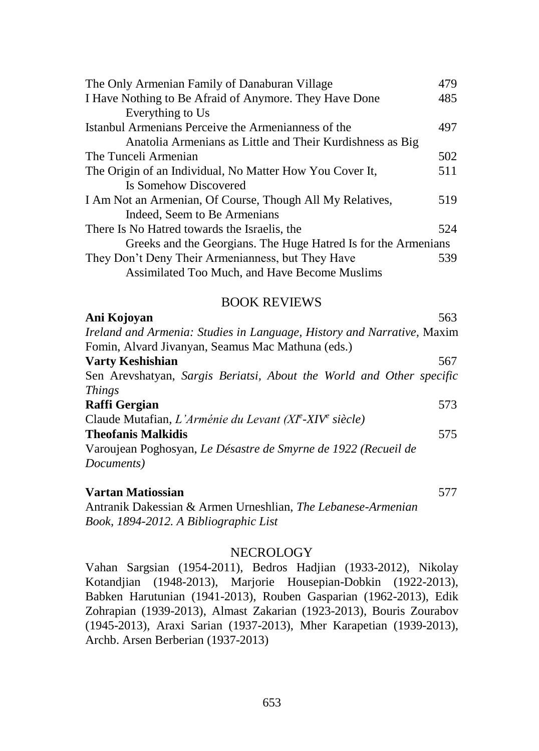| The Only Armenian Family of Danaburan Village                  | 479 |
|----------------------------------------------------------------|-----|
| I Have Nothing to Be Afraid of Anymore. They Have Done         | 485 |
| Everything to Us                                               |     |
| Istanbul Armenians Perceive the Armenianness of the            | 497 |
| Anatolia Armenians as Little and Their Kurdishness as Big      |     |
| The Tunceli Armenian                                           | 502 |
| The Origin of an Individual, No Matter How You Cover It,       | 511 |
| Is Somehow Discovered                                          |     |
| I Am Not an Armenian, Of Course, Though All My Relatives,      | 519 |
| Indeed, Seem to Be Armenians                                   |     |
| There Is No Hatred towards the Israelis, the                   | 524 |
| Greeks and the Georgians. The Huge Hatred Is for the Armenians |     |
| They Don't Deny Their Armenianness, but They Have              | 539 |
| Assimilated Too Much, and Have Become Muslims                  |     |

#### BOOK REVIEWS

| Ani Kojoyan                                                             | 563 |
|-------------------------------------------------------------------------|-----|
| Ireland and Armenia: Studies in Language, History and Narrative, Maxim  |     |
| Fomin, Alvard Jivanyan, Seamus Mac Mathuna (eds.)                       |     |
| <b>Varty Keshishian</b>                                                 | 567 |
| Sen Arevshatyan, Sargis Beriatsi, About the World and Other specific    |     |
| <i>Things</i>                                                           |     |
| <b>Raffi Gergian</b>                                                    | 573 |
| Claude Mutafian, L'Arménie du Levant ( $XI^e$ -XIV <sup>e</sup> siècle) |     |
| <b>Theofanis Malkidis</b>                                               | 575 |
| Varoujean Poghosyan, Le Désastre de Smyrne de 1922 (Recueil de          |     |
| Documents)                                                              |     |
|                                                                         |     |

**Vartan Matiossian** 577 Antranik Dakessian & Armen Urneshlian, *The Lebanese-Armenian Book, 1894-2012. A Bibliographic List*

#### **NECROLOGY**

Vahan Sargsian (1954-2011), Bedros Hadjian (1933-2012), Nikolay Kotandjian (1948-2013), Marjorie Housepian-Dobkin (1922-2013), Babken Harutunian (1941-2013), Rouben Gasparian (1962-2013), Edik Zohrapian (1939-2013), Almast Zakarian (1923-2013), Bouris Zourabov (1945-2013), Araxi Sarian (1937-2013), Mher Karapetian (1939-2013), Archb. Arsen Berberian (1937-2013)